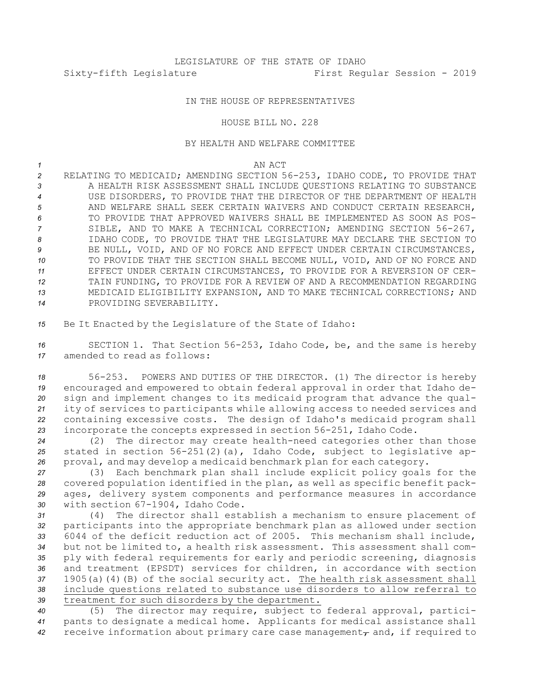## IN THE HOUSE OF REPRESENTATIVES

## HOUSE BILL NO. 228

## BY HEALTH AND WELFARE COMMITTEE

*1* AN ACT

 RELATING TO MEDICAID; AMENDING SECTION 56-253, IDAHO CODE, TO PROVIDE THAT **3** A HEALTH RISK ASSESSMENT SHALL INCLUDE QUESTIONS RELATING TO SUBSTANCE USE DISORDERS, TO PROVIDE THAT THE DIRECTOR OF THE DEPARTMENT OF HEALTH AND WELFARE SHALL SEEK CERTAIN WAIVERS AND CONDUCT CERTAIN RESEARCH, TO PROVIDE THAT APPROVED WAIVERS SHALL BE IMPLEMENTED AS SOON AS POS- SIBLE, AND TO MAKE A TECHNICAL CORRECTION; AMENDING SECTION 56-267, IDAHO CODE, TO PROVIDE THAT THE LEGISLATURE MAY DECLARE THE SECTION TO BE NULL, VOID, AND OF NO FORCE AND EFFECT UNDER CERTAIN CIRCUMSTANCES, TO PROVIDE THAT THE SECTION SHALL BECOME NULL, VOID, AND OF NO FORCE AND EFFECT UNDER CERTAIN CIRCUMSTANCES, TO PROVIDE FOR A REVERSION OF CER- TAIN FUNDING, TO PROVIDE FOR A REVIEW OF AND A RECOMMENDATION REGARDING MEDICAID ELIGIBILITY EXPANSION, AND TO MAKE TECHNICAL CORRECTIONS; AND PROVIDING SEVERABILITY.

*<sup>15</sup>* Be It Enacted by the Legislature of the State of Idaho:

*<sup>16</sup>* SECTION 1. That Section 56-253, Idaho Code, be, and the same is hereby *17* amended to read as follows:

 56-253. POWERS AND DUTIES OF THE DIRECTOR. (1) The director is hereby encouraged and empowered to obtain federal approval in order that Idaho de- sign and implement changes to its medicaid program that advance the qual- ity of services to participants while allowing access to needed services and containing excessive costs. The design of Idaho's medicaid program shall incorporate the concepts expressed in section 56-251, Idaho Code.

*<sup>24</sup>* (2) The director may create health-need categories other than those *<sup>25</sup>* stated in section 56-251(2)(a), Idaho Code, subject to legislative ap-*<sup>26</sup>* proval, and may develop <sup>a</sup> medicaid benchmark plan for each category.

 (3) Each benchmark plan shall include explicit policy goals for the covered population identified in the plan, as well as specific benefit pack- ages, delivery system components and performance measures in accordance with section 67-1904, Idaho Code.

 (4) The director shall establish <sup>a</sup> mechanism to ensure placement of participants into the appropriate benchmark plan as allowed under section 6044 of the deficit reduction act of 2005. This mechanism shall include, but not be limited to, <sup>a</sup> health risk assessment. This assessment shall com- ply with federal requirements for early and periodic screening, diagnosis and treatment (EPSDT) services for children, in accordance with section 1905(a)(4)(B) of the social security act. The health risk assessment shall include questions related to substance use disorders to allow referral to treatment for such disorders by the department.

*<sup>40</sup>* (5) The director may require, subject to federal approval, partici-*<sup>41</sup>* pants to designate <sup>a</sup> medical home. Applicants for medical assistance shall 42 receive information about primary care case management<sub>r</sub> and, if required to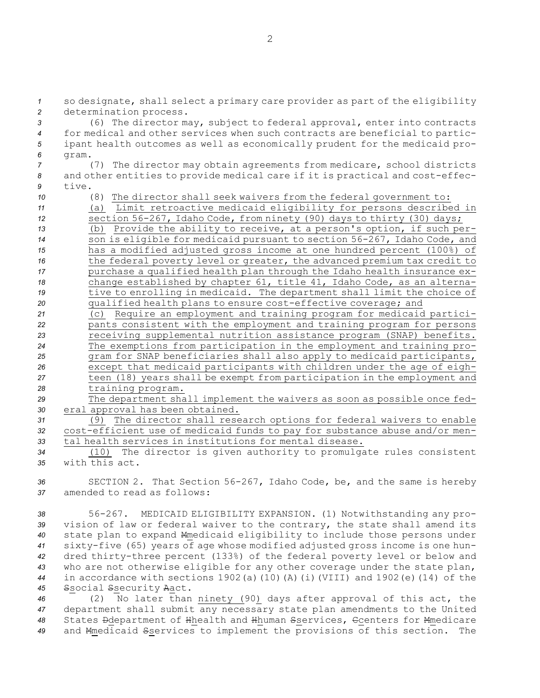*<sup>1</sup>* so designate, shall select <sup>a</sup> primary care provider as part of the eligibility *<sup>2</sup>* determination process.

 (6) The director may, subject to federal approval, enter into contracts for medical and other services when such contracts are beneficial to partic- ipant health outcomes as well as economically prudent for the medicaid pro-*6* gram.

*<sup>7</sup>* (7) The director may obtain agreements from medicare, school districts *<sup>8</sup>* and other entities to provide medical care if it is practical and cost-effec-*9* tive.

*<sup>10</sup>* (8) The director shall seek waivers from the federal government to:

*<sup>11</sup>* (a) Limit retroactive medicaid eligibility for persons described in *<sup>12</sup>* section 56-267, Idaho Code, from ninety (90) days to thirty (30) days;

 (b) Provide the ability to receive, at <sup>a</sup> person's option, if such per- son is eligible for medicaid pursuant to section 56-267, Idaho Code, and has <sup>a</sup> modified adjusted gross income at one hundred percent (100%) of 16 the federal poverty level or greater, the advanced premium tax credit to purchase <sup>a</sup> qualified health plan through the Idaho health insurance ex- change established by chapter 61, title 41, Idaho Code, as an alterna-19 tive to enrolling in medicaid. The department shall limit the choice of qualified health plans to ensure cost-effective coverage; and

 (c) Require an employment and training program for medicaid partici- pants consistent with the employment and training program for persons receiving supplemental nutrition assistance program (SNAP) benefits. The exemptions from participation in the employment and training pro- gram for SNAP beneficiaries shall also apply to medicaid participants, except that medicaid participants with children under the age of eigh- teen (18) years shall be exempt from participation in the employment and training program.

*<sup>29</sup>* The department shall implement the waivers as soon as possible once fed-*<sup>30</sup>* eral approval has been obtained.

*<sup>31</sup>* (9) The director shall research options for federal waivers to enable *<sup>32</sup>* cost-efficient use of medicaid funds to pay for substance abuse and/or men-*33* tal health services in institutions for mental disease.

*<sup>34</sup>* (10) The director is given authority to promulgate rules consistent *35* with this act.

*<sup>36</sup>* SECTION 2. That Section 56-267, Idaho Code, be, and the same is hereby *37* amended to read as follows:

 56-267. MEDICAID ELIGIBILITY EXPANSION. (1) Notwithstanding any pro- vision of law or federal waiver to the contrary, the state shall amend its state plan to expand Mmedicaid eligibility to include those persons under sixty-five (65) years of age whose modified adjusted gross income is one hun- dred thirty-three percent (133%) of the federal poverty level or below and who are not otherwise eligible for any other coverage under the state plan, in accordance with sections 1902(a)(10)(A)(i)(VIII) and 1902(e)(14) of the Ssocial Ssecurity Aact.

 (2) No later than ninety (90) days after approval of this act, the department shall submit any necessary state plan amendments to the United States Ddepartment of Hhealth and Hhuman Sservices, Ccenters for Mmedicare and Mmedicaid Sservices to implement the provisions of this section. The